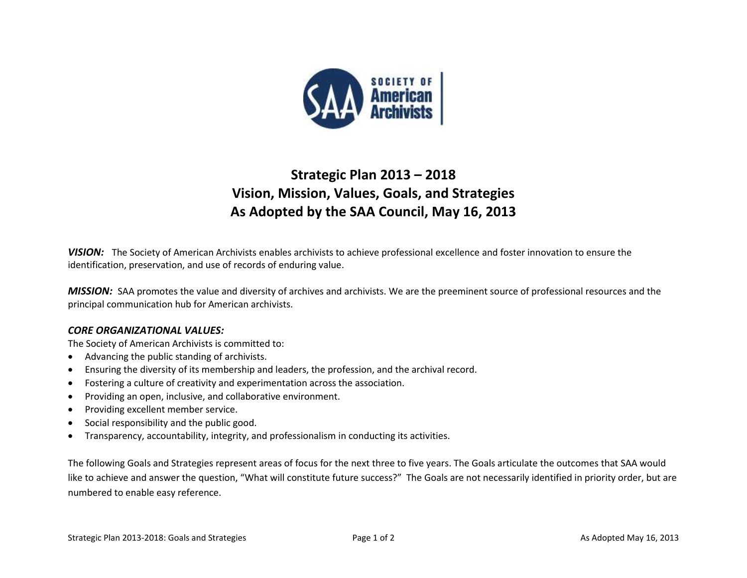

## **Strategic Plan 2013 – 2018 Vision, Mission, Values, Goals, and Strategies As Adopted by the SAA Council, May 16, 2013**

*VISION:* The Society of American Archivists enables archivists to achieve professional excellence and foster innovation to ensure the identification, preservation, and use of records of enduring value.

*MISSION:* SAA promotes the value and diversity of archives and archivists. We are the preeminent source of professional resources and the principal communication hub for American archivists.

## *CORE ORGANIZATIONAL VALUES:*

The Society of American Archivists is committed to:

- Advancing the public standing of archivists.
- Ensuring the diversity of its membership and leaders, the profession, and the archival record.
- Fostering a culture of creativity and experimentation across the association.
- Providing an open, inclusive, and collaborative environment.
- Providing excellent member service.
- Social responsibility and the public good.
- Transparency, accountability, integrity, and professionalism in conducting its activities.

The following Goals and Strategies represent areas of focus for the next three to five years. The Goals articulate the outcomes that SAA would like to achieve and answer the question, "What will constitute future success?" The Goals are not necessarily identified in priority order, but are numbered to enable easy reference.